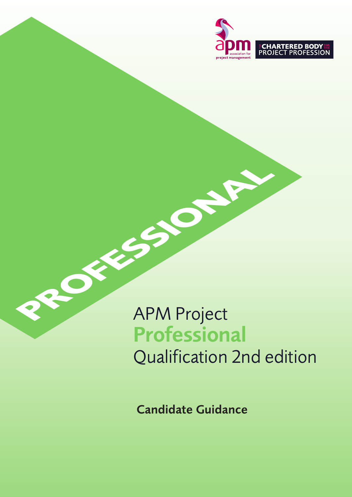

# **PROFESSION** APM Project Professional Qualification 2nd edition

Candidate Guidance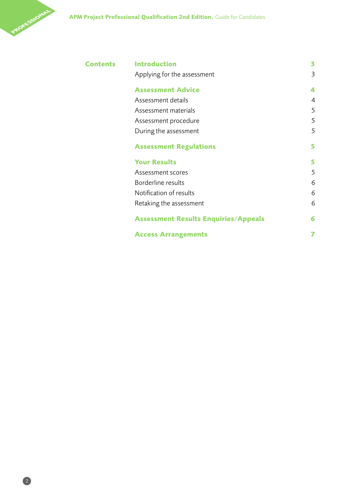

| <b>Contents</b> | <b>Introduction</b>                         | 3 |
|-----------------|---------------------------------------------|---|
|                 | Applying for the assessment                 | 3 |
|                 | <b>Assessment Advice</b>                    | 4 |
|                 | Assessment details                          | 4 |
|                 | Assessment materials                        | 5 |
|                 | Assessment procedure                        | 5 |
|                 | During the assessment                       | 5 |
|                 | <b>Assessment Regulations</b>               | 5 |
|                 | <b>Your Results</b>                         | 5 |
|                 | Assessment scores                           | 5 |
|                 | Borderline results                          | 6 |
|                 | Notification of results                     | 6 |
|                 | Retaking the assessment                     | 6 |
|                 | <b>Assessment Results Enquiries/Appeals</b> | 6 |
|                 | <b>Access Arrangements</b>                  | 7 |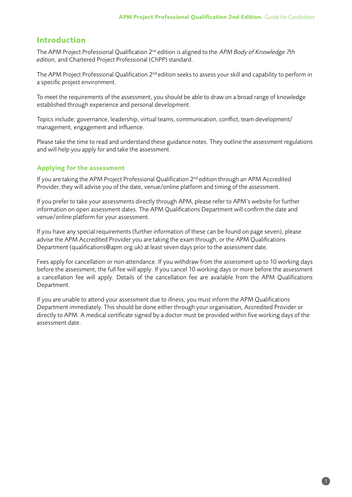# **Introduction**

The APM Project Professional Qualification  $2^{nd}$  edition is aligned to the APM Body of Knowledge 7th edition, and Chartered Project Professional (ChPP) standard.

The APM Project Professional Qualification 2<sup>nd</sup> edition seeks to assess your skill and capability to perform in a specific project environment.

To meet the requirements of the assessment, you should be able to draw on a broad range of knowledge established through experience and personal development.

Topics include; governance, leadership, virtual teams, communication, conflict, team development/ management, engagement and influence.

Please take the time to read and understand these guidance notes. They outline the assessment regulations and will help you apply for and take the assessment.

# **Applying for the assessment**

If you are taking the APM Project Professional Qualification 2<sup>nd</sup> edition through an APM Accredited Provider, they will advise you of the date, venue/online platform and timing of the assessment.

If you prefer to take your assessments directly through APM, please refer to APM's website for further information on open assessment dates. The APM Qualifications Department will confirm the date and venue/online platform for your assessment.

If you have any special requirements (further information of these can be found on page seven), please advise the APM Accredited Provider you are taking the exam through, or the APM Qualifications Department (qualifications@apm.org.uk) at least seven days prior to the assessment date.

Fees apply for cancellation or non-attendance. If you withdraw from the assessment up to 10 working days before the assessment, the full fee will apply. If you cancel 10 working days or more before the assessment a cancellation fee will apply. Details of the cancellation fee are available from the APM Qualifications Department.

If you are unable to attend your assessment due to illness, you must inform the APM Qualifications Department immediately. This should be done either through your organisation, Accredited Provider or directly to APM. A medical certificate signed by a doctor must be provided within five working days of the assessment date.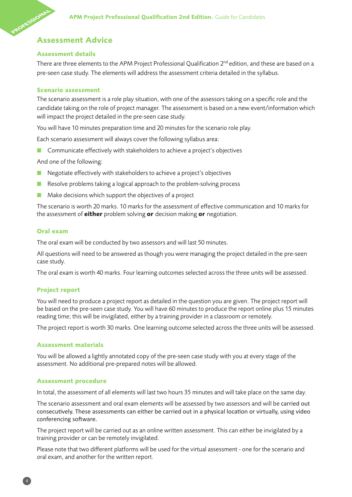# **ROFESSIONAL Assessment Advice**

# **Assessment details**

There are three elements to the APM Project Professional Qualification  $2^{nd}$  edition, and these are based on a pre-seen case study. The elements will address the assessment criteria detailed in the syllabus.

# **Scenario assessment**

The scenario assessment is a role play situation, with one of the assessors taking on a specific role and the candidate taking on the role of project manager. The assessment is based on a new event/information which will impact the project detailed in the pre-seen case study.

You will have 10 minutes preparation time and 20 minutes for the scenario role play.

Each scenario assessment will always cover the following syllabus area:

■ Communicate effectively with stakeholders to achieve a project's objectives

And one of the following:

- Negotiate effectively with stakeholders to achieve a project's objectives
- Resolve problems taking a logical approach to the problem-solving process
- Make decisions which support the objectives of a project

The scenario is worth 20 marks. 10 marks for the assessment of effective communication and 10 marks for the assessment of **either** problem solving **or** decision making **or** negotiation.

# **Oral exam**

The oral exam will be conducted by two assessors and will last 50 minutes.

All questions will need to be answered as though you were managing the project detailed in the pre-seen case study.

The oral exam is worth 40 marks. Four learning outcomes selected across the three units will be assessed.

# **Project report**

You will need to produce a project report as detailed in the question you are given. The project report will be based on the pre-seen case study. You will have 60 minutes to produce the report online plus 15 minutes reading time; this will be invigilated, either by a training provider in a classroom or remotely.

The project report is worth 30 marks. One learning outcome selected across the three units will be assessed.

# **Assessment materials**

You will be allowed a lightly annotated copy of the pre-seen case study with you at every stage of the assessment. No additional pre-prepared notes will be allowed.

# **Assessment procedure**

In total, the assessment of all elements will last two hours 35 minutes and will take place on the same day.

The scenario assessment and oral exam elements will be assessed by two assessors and will be carried out consecutively. These assessments can either be carried out in a physical location or virtually, using video conferencing software.

The project report will be carried out as an online written assessment. This can either be invigilated by a training provider or can be remotely invigilated.

Please note that two different platforms will be used for the virtual assessment - one for the scenario and oral exam, and another for the written report.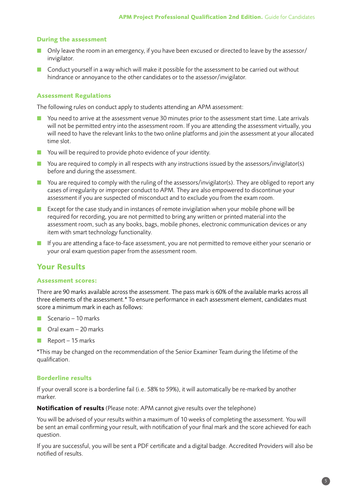# **During the assessment**

- Only leave the room in an emergency, if you have been excused or directed to leave by the assessor/ invigilator.
- Conduct yourself in a way which will make it possible for the assessment to be carried out without hindrance or annoyance to the other candidates or to the assessor/invigilator.

# **Assessment Regulations**

The following rules on conduct apply to students attending an APM assessment:

- You need to arrive at the assessment venue 30 minutes prior to the assessment start time. Late arrivals will not be permitted entry into the assessment room. If you are attending the assessment virtually, you will need to have the relevant links to the two online platforms and join the assessment at your allocated time slot.
- $\blacksquare$  You will be required to provide photo evidence of your identity.
- $\blacksquare$  You are required to comply in all respects with any instructions issued by the assessors/invigilator(s) before and during the assessment.
- $\blacksquare$  You are required to comply with the ruling of the assessors/invigilator(s). They are obliged to report any cases of irregularity or improper conduct to APM. They are also empowered to discontinue your assessment if you are suspected of misconduct and to exclude you from the exam room.
- **Except** for the case study and in instances of remote invigilation when your mobile phone will be required for recording, you are not permitted to bring any written or printed material into the assessment room, such as any books, bags, mobile phones, electronic communication devices or any item with smart technology functionality.
- If you are attending a face-to-face assessment, you are not permitted to remove either your scenario or your oral exam question paper from the assessment room.

# **Your Results**

# **Assessment scores:**

There are 90 marks available across the assessment. The pass mark is 60% of the available marks across all three elements of the assessment.\* To ensure performance in each assessment element, candidates must score a minimum mark in each as follows:

- $\blacksquare$  Scenario 10 marks
- $\Box$  Oral exam 20 marks
- **B** Report  $-15$  marks

\*This may be changed on the recommendation of the Senior Examiner Team during the lifetime of the qualification.

# **Borderline results**

If your overall score is a borderline fail (i.e. 58% to 59%), it will automatically be re-marked by another marker.

**Notification of results** (Please note: APM cannot give results over the telephone)

You will be advised of your results within a maximum of 10 weeks of completing the assessment. You will be sent an email confirming your result, with notification of your final mark and the score achieved for each question.

If you are successful, you will be sent a PDF certificate and a digital badge. Accredited Providers will also be notified of results.

5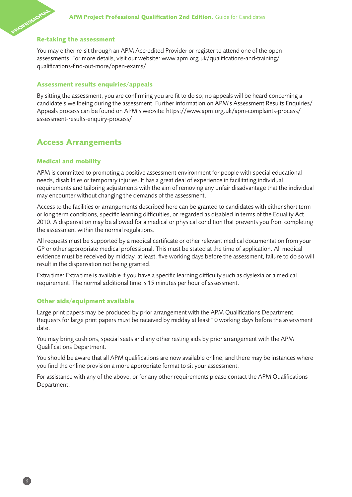# **ROFESSIONAL Re-taking the assessment**

You may either re-sit through an APM Accredited Provider or register to attend one of the open assessments. For more details, visit our website: www.apm.org.uk/qualifications-and-training/ qualifications-find-out-more/open-exams/

#### **Assessment results enquiries/appeals**

By sitting the assessment, you are confirming you are fit to do so; no appeals will be heard concerning a candidate's wellbeing during the assessment. Further information on APM's Assessment Results Enquiries/ Appeals process can be found on APM's website: https://www.apm.org.uk/apm-complaints-process/ assessment-results-enquiry-process/

# **Access Arrangements**

#### **Medical and mobility**

APM is committed to promoting a positive assessment environment for people with special educational needs, disabilities or temporary injuries. It has a great deal of experience in facilitating individual requirements and tailoring adjustments with the aim of removing any unfair disadvantage that the individual may encounter without changing the demands of the assessment.

Access to the facilities or arrangements described here can be granted to candidates with either short term or long term conditions, specific learning difficulties, or regarded as disabled in terms of the Equality Act 2010. A dispensation may be allowed for a medical or physical condition that prevents you from completing the assessment within the normal regulations.

All requests must be supported by a medical certificate or other relevant medical documentation from your GP or other appropriate medical professional. This must be stated at the time of application. All medical evidence must be received by midday, at least, five working days before the assessment, failure to do so will result in the dispensation not being granted.

Extra time: Extra time is available if you have a specific learning difficulty such as dyslexia or a medical requirement. The normal additional time is 15 minutes per hour of assessment.

#### **Other aids/equipment available**

Large print papers may be produced by prior arrangement with the APM Qualifications Department. Requests for large print papers must be received by midday at least 10 working days before the assessment date.

You may bring cushions, special seats and any other resting aids by prior arrangement with the APM Qualifications Department.

You should be aware that all APM qualifications are now available online, and there may be instances where you find the online provision a more appropriate format to sit your assessment.

For assistance with any of the above, or for any other requirements please contact the APM Qualifications Department.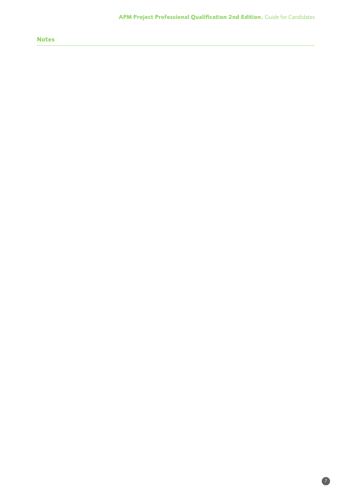# **Notes**